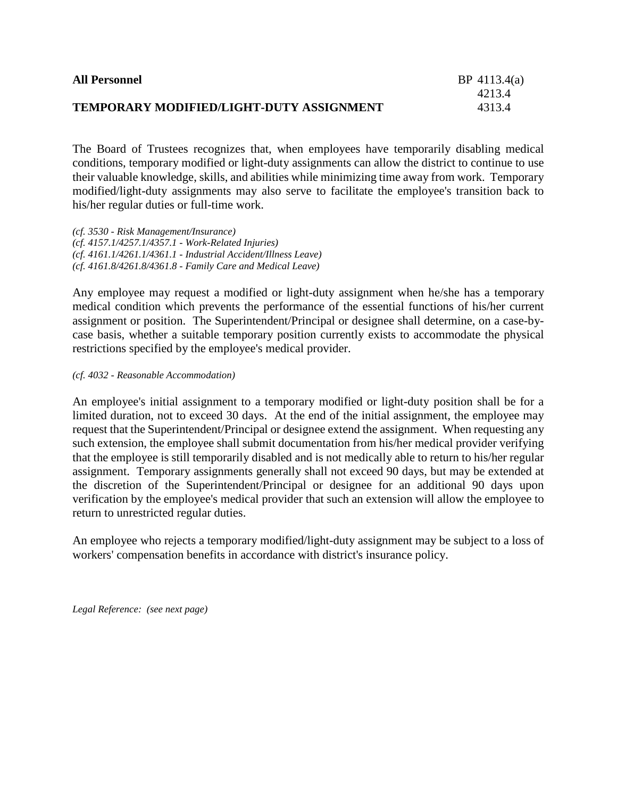| <b>All Personnel</b>                     | BP 4113.4(a) |
|------------------------------------------|--------------|
|                                          | 4213.4       |
| TEMPORARY MODIFIED/LIGHT-DUTY ASSIGNMENT | 4313.4       |

The Board of Trustees recognizes that, when employees have temporarily disabling medical conditions, temporary modified or light-duty assignments can allow the district to continue to use their valuable knowledge, skills, and abilities while minimizing time away from work. Temporary modified/light-duty assignments may also serve to facilitate the employee's transition back to his/her regular duties or full-time work.

*(cf. 3530 - Risk Management/Insurance) (cf. 4157.1/4257.1/4357.1 - Work-Related Injuries) (cf. 4161.1/4261.1/4361.1 - Industrial Accident/Illness Leave) (cf. 4161.8/4261.8/4361.8 - Family Care and Medical Leave)*

Any employee may request a modified or light-duty assignment when he/she has a temporary medical condition which prevents the performance of the essential functions of his/her current assignment or position. The Superintendent/Principal or designee shall determine, on a case-bycase basis, whether a suitable temporary position currently exists to accommodate the physical restrictions specified by the employee's medical provider.

## *(cf. 4032 - Reasonable Accommodation)*

An employee's initial assignment to a temporary modified or light-duty position shall be for a limited duration, not to exceed 30 days. At the end of the initial assignment, the employee may request that the Superintendent/Principal or designee extend the assignment. When requesting any such extension, the employee shall submit documentation from his/her medical provider verifying that the employee is still temporarily disabled and is not medically able to return to his/her regular assignment. Temporary assignments generally shall not exceed 90 days, but may be extended at the discretion of the Superintendent/Principal or designee for an additional 90 days upon verification by the employee's medical provider that such an extension will allow the employee to return to unrestricted regular duties.

An employee who rejects a temporary modified/light-duty assignment may be subject to a loss of workers' compensation benefits in accordance with district's insurance policy.

*Legal Reference: (see next page)*